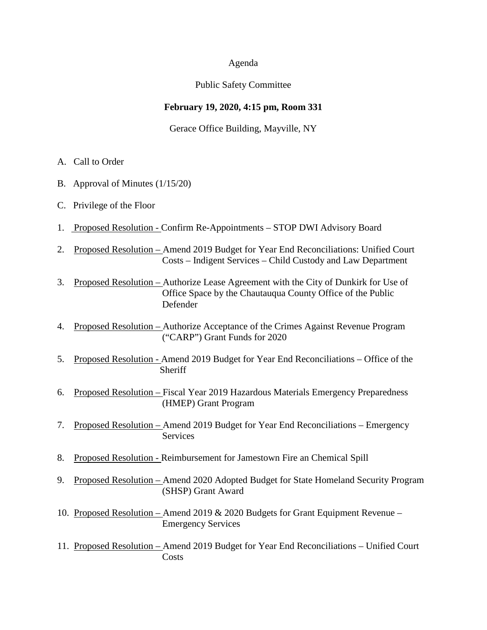#### Agenda

## Public Safety Committee

# **February 19, 2020, 4:15 pm, Room 331**

Gerace Office Building, Mayville, NY

- A. Call to Order
- B. Approval of Minutes (1/15/20)
- C. Privilege of the Floor
- 1. Proposed Resolution Confirm Re-Appointments STOP DWI Advisory Board
- 2. Proposed Resolution Amend 2019 Budget for Year End Reconciliations: Unified Court Costs – Indigent Services – Child Custody and Law Department
- 3. Proposed Resolution Authorize Lease Agreement with the City of Dunkirk for Use of Office Space by the Chautauqua County Office of the Public Defender
- 4. Proposed Resolution Authorize Acceptance of the Crimes Against Revenue Program ("CARP") Grant Funds for 2020
- 5. Proposed Resolution Amend 2019 Budget for Year End Reconciliations Office of the Sheriff
- 6. Proposed Resolution Fiscal Year 2019 Hazardous Materials Emergency Preparedness (HMEP) Grant Program
- 7. Proposed Resolution Amend 2019 Budget for Year End Reconciliations Emergency Services
- 8. Proposed Resolution Reimbursement for Jamestown Fire an Chemical Spill
- 9. Proposed Resolution Amend 2020 Adopted Budget for State Homeland Security Program (SHSP) Grant Award
- 10. Proposed Resolution Amend 2019 & 2020 Budgets for Grant Equipment Revenue Emergency Services
- 11. Proposed Resolution Amend 2019 Budget for Year End Reconciliations Unified Court **Costs**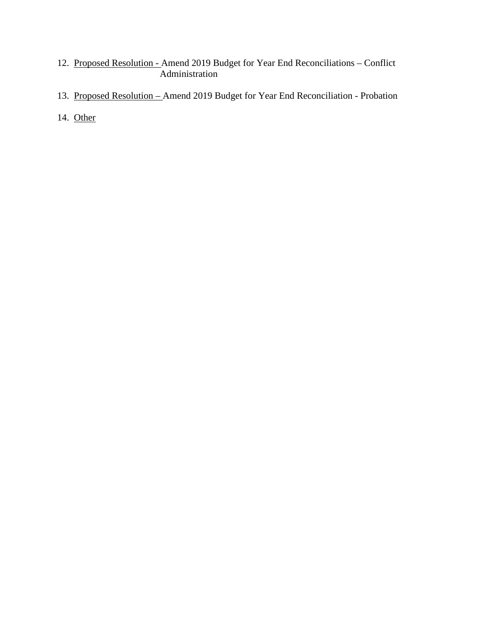- 12. Proposed Resolution Amend 2019 Budget for Year End Reconciliations Conflict Administration
- 13. Proposed Resolution Amend 2019 Budget for Year End Reconciliation Probation
- 14. Other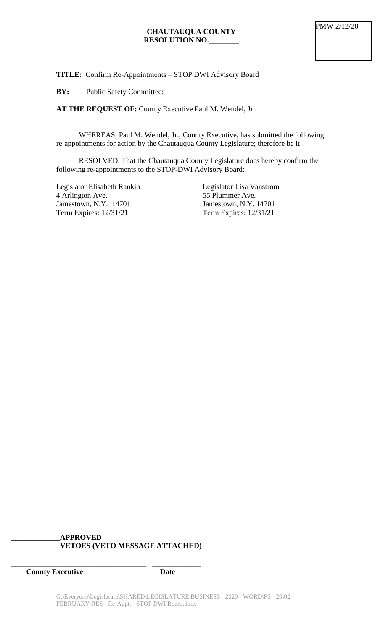**TITLE:** Confirm Re-Appointments – STOP DWI Advisory Board

**BY:** Public Safety Committee:

**AT THE REQUEST OF:** County Executive Paul M. Wendel, Jr.:

WHEREAS, Paul M. Wendel, Jr., County Executive, has submitted the following re-appointments for action by the Chautauqua County Legislature; therefore be it

RESOLVED, That the Chautauqua County Legislature does hereby confirm the following re-appointments to the STOP-DWI Advisory Board:

Legislator Elisabeth Rankin 4 Arlington Ave. Jamestown, N.Y. 14701 Term Expires: 12/31/21

Legislator Lisa Vanstrom 55 Plummer Ave. Jamestown, N.Y. 14701 Term Expires: 12/31/21

# **\_\_\_\_\_\_\_\_\_\_\_\_\_APPROVED \_\_\_\_\_\_\_\_\_\_\_\_\_VETOES (VETO MESSAGE ATTACHED)**

**\_\_\_\_\_\_\_\_\_\_\_\_\_\_\_\_\_\_\_\_\_\_\_\_\_\_\_\_\_\_\_\_\_\_\_\_ \_\_\_\_\_\_\_\_\_\_\_\_\_**

**County Executive Date**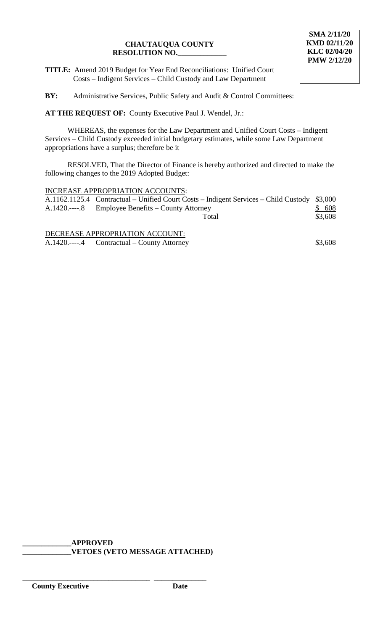**TITLE:** Amend 2019 Budget for Year End Reconciliations: Unified Court Costs – Indigent Services – Child Custody and Law Department

**BY:** Administrative Services, Public Safety and Audit & Control Committees:

**AT THE REQUEST OF:** County Executive Paul J. Wendel, Jr.:

WHEREAS, the expenses for the Law Department and Unified Court Costs – Indigent Services – Child Custody exceeded initial budgetary estimates, while some Law Department appropriations have a surplus; therefore be it

RESOLVED, That the Director of Finance is hereby authorized and directed to make the following changes to the 2019 Adopted Budget:

## INCREASE APPROPRIATION ACCOUNTS:

| A.1162.1125.4 Contractual – Unified Court Costs – Indigent Services – Child Custody \$3,000 |         |
|---------------------------------------------------------------------------------------------|---------|
| A.1420.----.8 Employee Benefits – County Attorney                                           | \$608   |
| Total                                                                                       | \$3,608 |
|                                                                                             |         |

DECREASE APPROPRIATION ACCOUNT: A.1420.----.4 Contractual – County Attorney \$3,608

**\_\_\_\_\_\_\_\_\_\_\_\_\_APPROVED**

\_\_\_\_\_\_\_\_\_\_\_\_\_\_\_\_\_\_\_\_\_\_\_\_\_\_\_\_\_\_\_\_\_\_ \_\_\_\_\_\_\_\_\_\_\_\_\_\_

**\_\_\_\_\_\_\_\_\_\_\_\_\_VETOES (VETO MESSAGE ATTACHED)**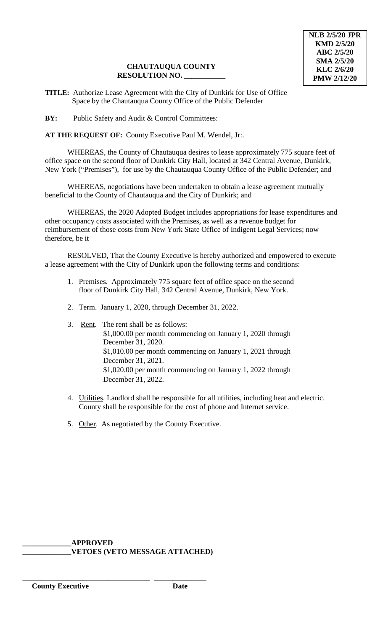**TITLE:** Authorize Lease Agreement with the City of Dunkirk for Use of Office Space by the Chautauqua County Office of the Public Defender

**BY:** Public Safety and Audit & Control Committees:

**AT THE REQUEST OF:** County Executive Paul M. Wendel, Jr:.

WHEREAS, the County of Chautauqua desires to lease approximately 775 square feet of office space on the second floor of Dunkirk City Hall, located at 342 Central Avenue, Dunkirk, New York ("Premises"), for use by the Chautauqua County Office of the Public Defender; and

WHEREAS, negotiations have been undertaken to obtain a lease agreement mutually beneficial to the County of Chautauqua and the City of Dunkirk; and

WHEREAS, the 2020 Adopted Budget includes appropriations for lease expenditures and other occupancy costs associated with the Premises, as well as a revenue budget for reimbursement of those costs from New York State Office of Indigent Legal Services; now therefore, be it

RESOLVED, That the County Executive is hereby authorized and empowered to execute a lease agreement with the City of Dunkirk upon the following terms and conditions:

- 1. Premises. Approximately 775 square feet of office space on the second floor of Dunkirk City Hall, 342 Central Avenue, Dunkirk, New York.
- 2. Term. January 1, 2020, through December 31, 2022.
- 3. Rent. The rent shall be as follows: \$1,000.00 per month commencing on January 1, 2020 through December 31, 2020. \$1,010.00 per month commencing on January 1, 2021 through December 31, 2021. \$1,020.00 per month commencing on January 1, 2022 through December 31, 2022.
- 4. Utilities. Landlord shall be responsible for all utilities, including heat and electric. County shall be responsible for the cost of phone and Internet service.
- 5. Other. As negotiated by the County Executive.

**\_\_\_\_\_\_\_\_\_\_\_\_\_APPROVED \_\_\_\_\_\_\_\_\_\_\_\_\_VETOES (VETO MESSAGE ATTACHED)**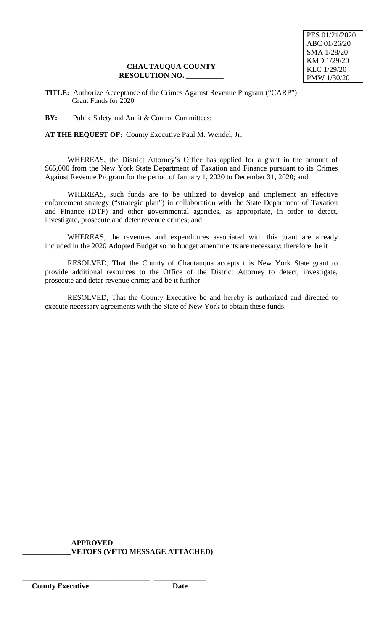**TITLE:** Authorize Acceptance of the Crimes Against Revenue Program ("CARP") Grant Funds for 2020

**BY:** Public Safety and Audit & Control Committees:

**AT THE REQUEST OF:** County Executive Paul M. Wendel, Jr.:

WHEREAS, the District Attorney's Office has applied for a grant in the amount of \$65,000 from the New York State Department of Taxation and Finance pursuant to its Crimes Against Revenue Program for the period of January 1, 2020 to December 31, 2020; and

WHEREAS, such funds are to be utilized to develop and implement an effective enforcement strategy ("strategic plan") in collaboration with the State Department of Taxation and Finance (DTF) and other governmental agencies, as appropriate, in order to detect, investigate, prosecute and deter revenue crimes; and

WHEREAS, the revenues and expenditures associated with this grant are already included in the 2020 Adopted Budget so no budget amendments are necessary; therefore, be it

RESOLVED, That the County of Chautauqua accepts this New York State grant to provide additional resources to the Office of the District Attorney to detect, investigate, prosecute and deter revenue crime; and be it further

RESOLVED, That the County Executive be and hereby is authorized and directed to execute necessary agreements with the State of New York to obtain these funds.

**\_\_\_\_\_\_\_\_\_\_\_\_\_APPROVED \_\_\_\_\_\_\_\_\_\_\_\_\_VETOES (VETO MESSAGE ATTACHED)**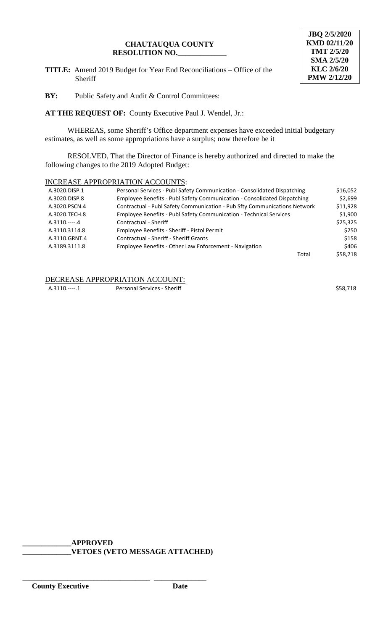**TITLE:** Amend 2019 Budget for Year End Reconciliations – Office of the Sheriff



**BY:** Public Safety and Audit & Control Committees:

**AT THE REQUEST OF:** County Executive Paul J. Wendel, Jr.:

WHEREAS, some Sheriff's Office department expenses have exceeded initial budgetary estimates, as well as some appropriations have a surplus; now therefore be it

RESOLVED, That the Director of Finance is hereby authorized and directed to make the following changes to the 2019 Adopted Budget:

## INCREASE APPROPRIATION ACCOUNTS:

| A.3020.DISP.1 | Personal Services - Publ Safety Communication - Consolidated Dispatching  | \$16,052 |
|---------------|---------------------------------------------------------------------------|----------|
| A.3020.DISP.8 | Employee Benefits - Publ Safety Communication - Consolidated Dispatching  | \$2.699  |
| A.3020.PSCN.4 | Contractual - Publ Safety Communication - Pub Sfty Communications Network | \$11.928 |
| A.3020.TECH.8 | Employee Benefits - Publ Safety Communication - Technical Services        | \$1,900  |
| $A.3110.---4$ | Contractual - Sheriff                                                     | \$25,325 |
| A.3110.3114.8 | Employee Benefits - Sheriff - Pistol Permit                               | \$250    |
| A.3110.GRNT.4 | <b>Contractual - Sheriff - Sheriff Grants</b>                             | \$158    |
| A.3189.3111.8 | Employee Benefits - Other Law Enforcement - Navigation                    | \$406    |
|               | Total                                                                     | \$58.718 |

#### DECREASE APPROPRIATION ACCOUNT:

A.3110.----.1 Personal Services - Sheriff  $\sim$  858,718

**\_\_\_\_\_\_\_\_\_\_\_\_\_APPROVED**

\_\_\_\_\_\_\_\_\_\_\_\_\_\_\_\_\_\_\_\_\_\_\_\_\_\_\_\_\_\_\_\_\_\_ \_\_\_\_\_\_\_\_\_\_\_\_\_\_

**\_\_\_\_\_\_\_\_\_\_\_\_\_VETOES (VETO MESSAGE ATTACHED)**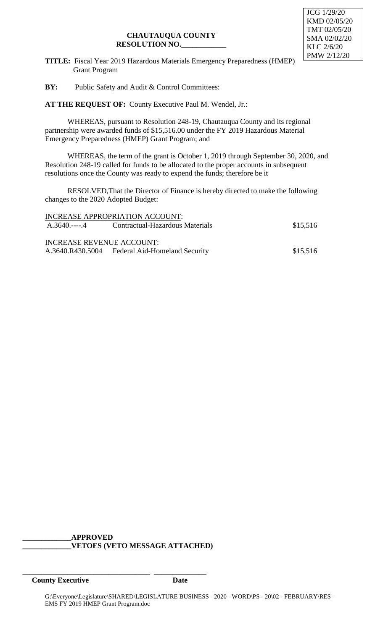**TITLE:** Fiscal Year 2019 Hazardous Materials Emergency Preparedness (HMEP) Grant Program

**BY:** Public Safety and Audit & Control Committees:

**AT THE REQUEST OF:** County Executive Paul M. Wendel, Jr.:

WHEREAS, pursuant to Resolution 248-19, Chautauqua County and its regional partnership were awarded funds of \$15,516.00 under the FY 2019 Hazardous Material Emergency Preparedness (HMEP) Grant Program; and

WHEREAS, the term of the grant is October 1, 2019 through September 30, 2020, and Resolution 248-19 called for funds to be allocated to the proper accounts in subsequent resolutions once the County was ready to expend the funds; therefore be it

RESOLVED,That the Director of Finance is hereby directed to make the following changes to the 2020 Adopted Budget:

|                           | INCREASE APPROPRIATION ACCOUNT:                |          |
|---------------------------|------------------------------------------------|----------|
|                           | A.3640.----.4 Contractual-Hazardous Materials  | \$15,516 |
|                           |                                                |          |
| INCREASE REVENUE ACCOUNT: |                                                |          |
|                           | A.3640.R430.5004 Federal Aid-Homeland Security | \$15,516 |

## **\_\_\_\_\_\_\_\_\_\_\_\_\_APPROVED \_\_\_\_\_\_\_\_\_\_\_\_\_VETOES (VETO MESSAGE ATTACHED)**

\_\_\_\_\_\_\_\_\_\_\_\_\_\_\_\_\_\_\_\_\_\_\_\_\_\_\_\_\_\_\_\_\_\_ \_\_\_\_\_\_\_\_\_\_\_\_\_\_

**County Executive Date**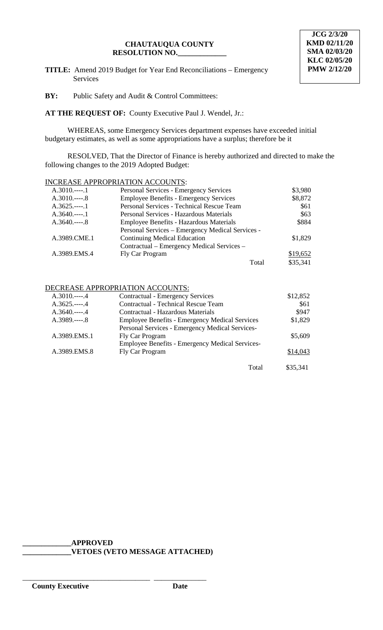**TITLE:** Amend 2019 Budget for Year End Reconciliations – Emergency Services

**BY:** Public Safety and Audit & Control Committees:

**AT THE REQUEST OF:** County Executive Paul J. Wendel, Jr.:

WHEREAS, some Emergency Services department expenses have exceeded initial budgetary estimates, as well as some appropriations have a surplus; therefore be it

RESOLVED, That the Director of Finance is hereby authorized and directed to make the following changes to the 2019 Adopted Budget:

## INCREASE APPROPRIATION ACCOUNTS:

| $A.3010$ 1    | Personal Services - Emergency Services           | \$3,980  |
|---------------|--------------------------------------------------|----------|
| $A.3010$ 8    | <b>Employee Benefits - Emergency Services</b>    | \$8,872  |
| $A.3625.---1$ | Personal Services - Technical Rescue Team        | \$61     |
| $A.3640$ 1    | Personal Services - Hazardous Materials          | \$63     |
| $A.3640---8$  | Employee Benefits - Hazardous Materials          | \$884    |
|               | Personal Services – Emergency Medical Services - |          |
| A.3989.CME.1  | <b>Continuing Medical Education</b>              | \$1,829  |
|               | Contractual – Emergency Medical Services –       |          |
| A.3989.EMS.4  | Fly Car Program                                  | \$19,652 |
|               | Total                                            | \$35,341 |

#### DECREASE APPROPRIATION ACCOUNTS:

| $A.3010$ 4     | <b>Contractual - Emergency Services</b>                | \$12,852 |
|----------------|--------------------------------------------------------|----------|
| $A.3625.---.4$ | <b>Contractual - Technical Rescue Team</b>             | \$61     |
| $A.3640$ 4     | Contractual - Hazardous Materials                      | \$947    |
| $A.3989.---8$  | <b>Employee Benefits - Emergency Medical Services</b>  | \$1,829  |
|                | Personal Services - Emergency Medical Services-        |          |
| A.3989.EMS.1   | Fly Car Program                                        | \$5,609  |
|                | <b>Employee Benefits - Emergency Medical Services-</b> |          |
| A.3989.EMS.8   | Fly Car Program                                        | \$14,043 |
|                | Total                                                  | \$35,341 |

**\_\_\_\_\_\_\_\_\_\_\_\_\_APPROVED \_\_\_\_\_\_\_\_\_\_\_\_\_VETOES (VETO MESSAGE ATTACHED)**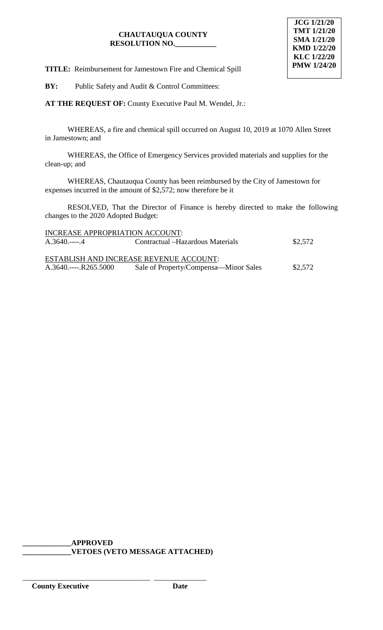

**TITLE:** Reimbursement for Jamestown Fire and Chemical Spill

**BY:** Public Safety and Audit & Control Committees:

**AT THE REQUEST OF:** County Executive Paul M. Wendel, Jr.:

WHEREAS, a fire and chemical spill occurred on August 10, 2019 at 1070 Allen Street in Jamestown; and

WHEREAS, the Office of Emergency Services provided materials and supplies for the clean-up; and

WHEREAS, Chautauqua County has been reimbursed by the City of Jamestown for expenses incurred in the amount of \$2,572; now therefore be it

RESOLVED, That the Director of Finance is hereby directed to make the following changes to the 2020 Adopted Budget:

| INCREASE APPROPRIATION ACCOUNT: |                                         |         |
|---------------------------------|-----------------------------------------|---------|
| $A.3640$ 4                      | Contractual – Hazardous Materials       | \$2,572 |
|                                 |                                         |         |
|                                 | ESTABLISH AND INCREASE REVENUE ACCOUNT: |         |
| $A.3640$ $R265.5000$            | Sale of Property/Compensa—Minor Sales   | \$2.572 |

**\_\_\_\_\_\_\_\_\_\_\_\_\_APPROVED \_\_\_\_\_\_\_\_\_\_\_\_\_VETOES (VETO MESSAGE ATTACHED)**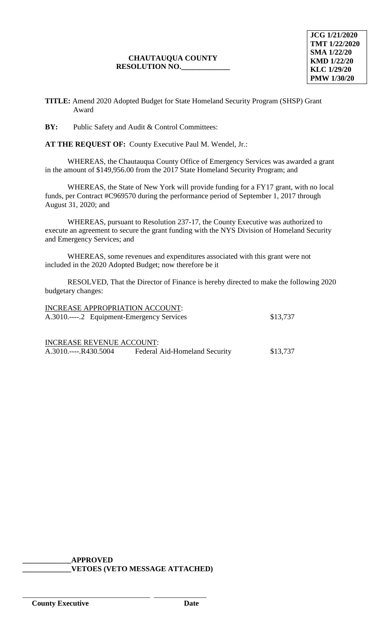**TITLE:** Amend 2020 Adopted Budget for State Homeland Security Program (SHSP) Grant Award

**BY:** Public Safety and Audit & Control Committees:

**AT THE REQUEST OF:** County Executive Paul M. Wendel, Jr.:

WHEREAS, the Chautauqua County Office of Emergency Services was awarded a grant in the amount of \$149,956.00 from the 2017 State Homeland Security Program; and

WHEREAS, the State of New York will provide funding for a FY17 grant, with no local funds, per Contract #C969570 during the performance period of September 1, 2017 through August 31, 2020; and

WHEREAS, pursuant to Resolution 237-17, the County Executive was authorized to execute an agreement to secure the grant funding with the NYS Division of Homeland Security and Emergency Services; and

WHEREAS, some revenues and expenditures associated with this grant were not included in the 2020 Adopted Budget; now therefore be it

RESOLVED, That the Director of Finance is hereby directed to make the following 2020 budgetary changes:

| INCREASE APPROPRIATION ACCOUNT:            |                               |          |
|--------------------------------------------|-------------------------------|----------|
| A.3010.----.2 Equipment-Emergency Services |                               | \$13,737 |
|                                            |                               |          |
|                                            |                               |          |
| <b>INCREASE REVENUE ACCOUNT:</b>           |                               |          |
| A.3010.----.R430.5004                      | Federal Aid-Homeland Security | \$13,737 |

# **\_\_\_\_\_\_\_\_\_\_\_\_\_APPROVED \_\_\_\_\_\_\_\_\_\_\_\_\_VETOES (VETO MESSAGE ATTACHED)**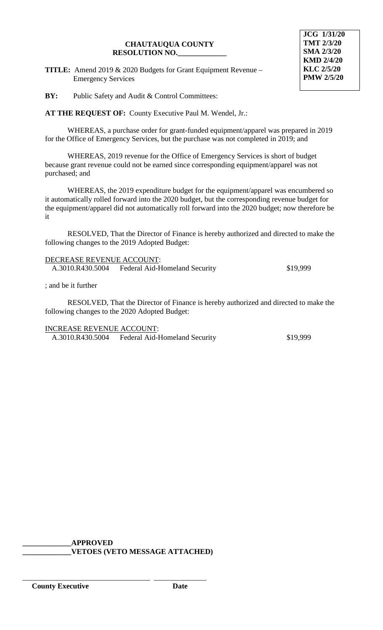**TITLE:** Amend 2019 & 2020 Budgets for Grant Equipment Revenue – Emergency Services

**JCG 1/31/20 TMT 2/3/20 SMA 2/3/20 KMD 2/4/20 KLC 2/5/20 PMW 2/5/20**

**BY:** Public Safety and Audit & Control Committees:

**AT THE REQUEST OF:** County Executive Paul M. Wendel, Jr.:

WHEREAS, a purchase order for grant-funded equipment/apparel was prepared in 2019 for the Office of Emergency Services, but the purchase was not completed in 2019; and

WHEREAS, 2019 revenue for the Office of Emergency Services is short of budget because grant revenue could not be earned since corresponding equipment/apparel was not purchased; and

WHEREAS, the 2019 expenditure budget for the equipment/apparel was encumbered so it automatically rolled forward into the 2020 budget, but the corresponding revenue budget for the equipment/apparel did not automatically roll forward into the 2020 budget; now therefore be it

RESOLVED, That the Director of Finance is hereby authorized and directed to make the following changes to the 2019 Adopted Budget:

| DECREASE REVENUE ACCOUNT: |                                      |          |
|---------------------------|--------------------------------------|----------|
| A.3010.R430.5004          | <b>Federal Aid-Homeland Security</b> | \$19,999 |

; and be it further

RESOLVED, That the Director of Finance is hereby authorized and directed to make the following changes to the 2020 Adopted Budget:

INCREASE REVENUE ACCOUNT:

A.3010.R430.5004 Federal Aid-Homeland Security \$19,999

**\_\_\_\_\_\_\_\_\_\_\_\_\_APPROVED \_\_\_\_\_\_\_\_\_\_\_\_\_VETOES (VETO MESSAGE ATTACHED)**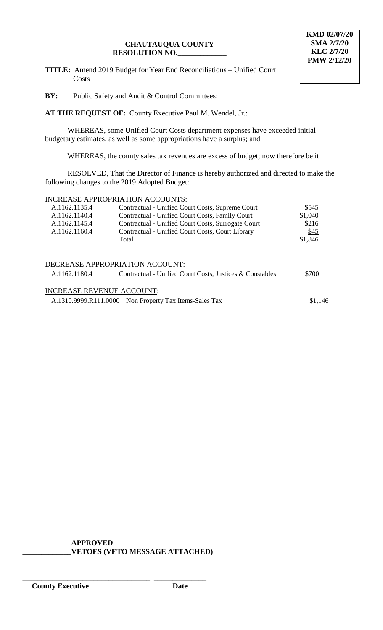**TITLE:** Amend 2019 Budget for Year End Reconciliations – Unified Court Costs

**BY:** Public Safety and Audit & Control Committees:

**AT THE REQUEST OF:** County Executive Paul M. Wendel, Jr.:

WHEREAS, some Unified Court Costs department expenses have exceeded initial budgetary estimates, as well as some appropriations have a surplus; and

WHEREAS, the county sales tax revenues are excess of budget; now therefore be it

RESOLVED, That the Director of Finance is hereby authorized and directed to make the following changes to the 2019 Adopted Budget:

#### INCREASE APPROPRIATION ACCOUNTS:

| A.1162.1135.4 | Contractual - Unified Court Costs, Supreme Court         | \$545   |
|---------------|----------------------------------------------------------|---------|
| A.1162.1140.4 | Contractual - Unified Court Costs, Family Court          | \$1,040 |
| A.1162.1145.4 | Contractual - Unified Court Costs, Surrogate Court       | \$216   |
| A.1162.1160.4 | Contractual - Unified Court Costs, Court Library         | \$45    |
|               | Total                                                    | \$1,846 |
|               |                                                          |         |
|               |                                                          |         |
|               | DECREASE APPROPRIATION ACCOUNT:                          |         |
| A.1162.1180.4 | Contractual - Unified Court Costs, Justices & Constables | \$700   |

# INCREASE REVENUE ACCOUNT:

A.1310.9999.R111.0000 Non Property Tax Items-Sales Tax \$1,146

**\_\_\_\_\_\_\_\_\_\_\_\_\_APPROVED**

\_\_\_\_\_\_\_\_\_\_\_\_\_\_\_\_\_\_\_\_\_\_\_\_\_\_\_\_\_\_\_\_\_\_ \_\_\_\_\_\_\_\_\_\_\_\_\_\_

**\_\_\_\_\_\_\_\_\_\_\_\_\_VETOES (VETO MESSAGE ATTACHED)**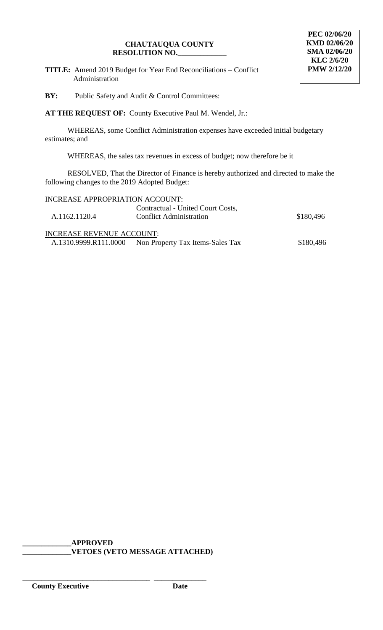**TITLE:** Amend 2019 Budget for Year End Reconciliations – Conflict Administration

**BY:** Public Safety and Audit & Control Committees:

**AT THE REQUEST OF:** County Executive Paul M. Wendel, Jr.:

WHEREAS, some Conflict Administration expenses have exceeded initial budgetary estimates; and

WHEREAS, the sales tax revenues in excess of budget; now therefore be it

RESOLVED, That the Director of Finance is hereby authorized and directed to make the following changes to the 2019 Adopted Budget:

| INCREASE APPROPRIATION ACCOUNT:  |                                   |           |
|----------------------------------|-----------------------------------|-----------|
|                                  | Contractual - United Court Costs, |           |
| A.1162.1120.4                    | <b>Conflict Administration</b>    | \$180,496 |
| <b>INCREASE REVENUE ACCOUNT:</b> |                                   |           |
| A.1310.9999.R111.0000            | Non Property Tax Items-Sales Tax  | \$180,496 |

**\_\_\_\_\_\_\_\_\_\_\_\_\_APPROVED \_\_\_\_\_\_\_\_\_\_\_\_\_VETOES (VETO MESSAGE ATTACHED)**